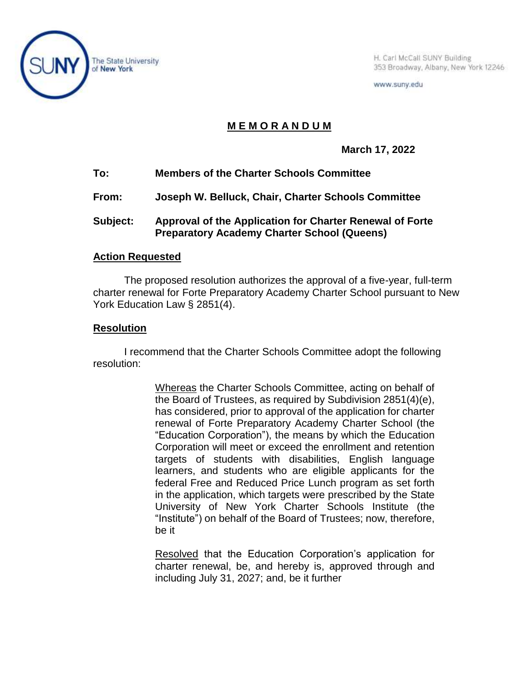

H. Carl McCall SUNY Building 353 Broadway, Albany, New York 12246

www.suny.edu

## **M E M O R A N D U M**

**March 17, 2022**

- **To: Members of the Charter Schools Committee**
- **From: Joseph W. Belluck, Chair, Charter Schools Committee**
- **Subject: Approval of the Application for Charter Renewal of Forte Preparatory Academy Charter School (Queens)**

## **Action Requested**

The proposed resolution authorizes the approval of a five-year, full-term charter renewal for Forte Preparatory Academy Charter School pursuant to New York Education Law § 2851(4).

## **Resolution**

I recommend that the Charter Schools Committee adopt the following resolution:

> Whereas the Charter Schools Committee, acting on behalf of the Board of Trustees, as required by Subdivision 2851(4)(e), has considered, prior to approval of the application for charter renewal of Forte Preparatory Academy Charter School (the "Education Corporation"), the means by which the Education Corporation will meet or exceed the enrollment and retention targets of students with disabilities, English language learners, and students who are eligible applicants for the federal Free and Reduced Price Lunch program as set forth in the application, which targets were prescribed by the State University of New York Charter Schools Institute (the "Institute") on behalf of the Board of Trustees; now, therefore, be it

> Resolved that the Education Corporation's application for charter renewal, be, and hereby is, approved through and including July 31, 2027; and, be it further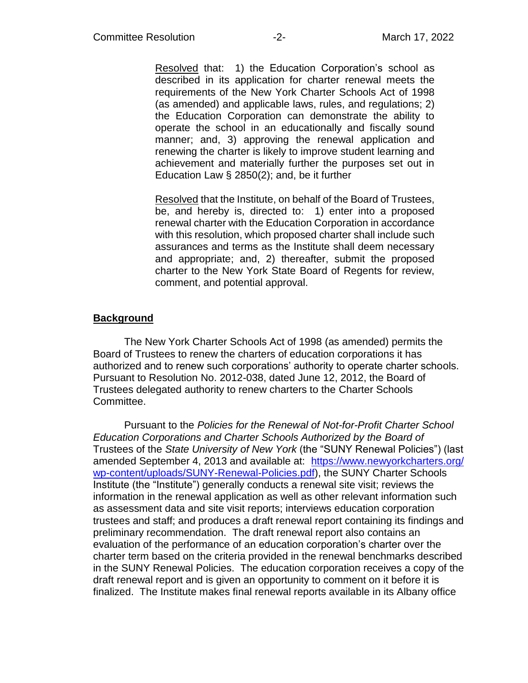Resolved that: 1) the Education Corporation's school as described in its application for charter renewal meets the requirements of the New York Charter Schools Act of 1998 (as amended) and applicable laws, rules, and regulations; 2) the Education Corporation can demonstrate the ability to operate the school in an educationally and fiscally sound manner; and, 3) approving the renewal application and renewing the charter is likely to improve student learning and achievement and materially further the purposes set out in Education Law § 2850(2); and, be it further

Resolved that the Institute, on behalf of the Board of Trustees, be, and hereby is, directed to: 1) enter into a proposed renewal charter with the Education Corporation in accordance with this resolution, which proposed charter shall include such assurances and terms as the Institute shall deem necessary and appropriate; and, 2) thereafter, submit the proposed charter to the New York State Board of Regents for review, comment, and potential approval.

## **Background**

The New York Charter Schools Act of 1998 (as amended) permits the Board of Trustees to renew the charters of education corporations it has authorized and to renew such corporations' authority to operate charter schools. Pursuant to Resolution No. 2012-038, dated June 12, 2012, the Board of Trustees delegated authority to renew charters to the Charter Schools Committee.

Pursuant to the *Policies for the Renewal of Not-for-Profit Charter School Education Corporations and Charter Schools Authorized by the Board of*  Trustees of the *State University of New York* (the "SUNY Renewal Policies") (last amended September 4, 2013 and available at: [https://www.newyorkcharters.org/](https://www.newyorkcharters.org/wp-content/uploads/SUNY-Renewal-Policies.pdf) [wp-content/uploads/SUNY-Renewal-Policies.pdf\)](https://www.newyorkcharters.org/wp-content/uploads/SUNY-Renewal-Policies.pdf), the SUNY Charter Schools Institute (the "Institute") generally conducts a renewal site visit; reviews the information in the renewal application as well as other relevant information such as assessment data and site visit reports; interviews education corporation trustees and staff; and produces a draft renewal report containing its findings and preliminary recommendation. The draft renewal report also contains an evaluation of the performance of an education corporation's charter over the charter term based on the criteria provided in the renewal benchmarks described in the SUNY Renewal Policies. The education corporation receives a copy of the draft renewal report and is given an opportunity to comment on it before it is finalized. The Institute makes final renewal reports available in its Albany office